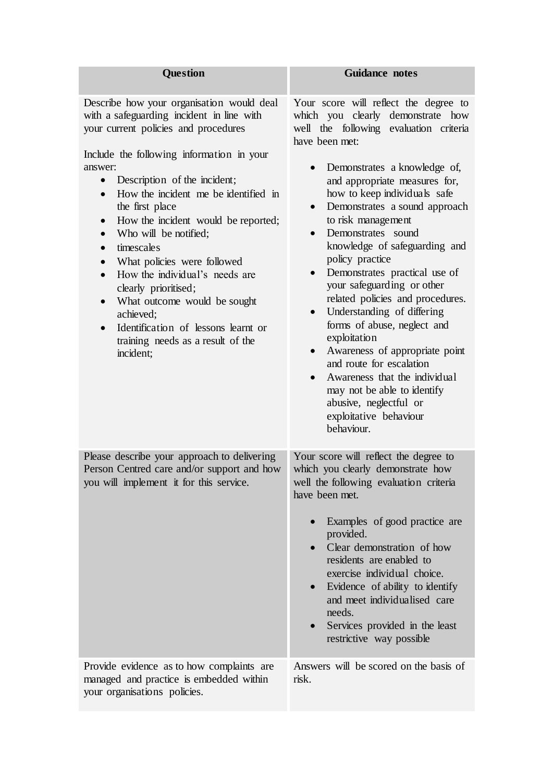| <b>Question</b>                                                                                                                                                                                                                                                                                                                                                                                                                                                                                                                                                                                                                                    | <b>Guidance notes</b>                                                                                                                                                                                                                                                                                                                                                                                                                                                                                                                                                                                                                                                                                                                                                                                                     |
|----------------------------------------------------------------------------------------------------------------------------------------------------------------------------------------------------------------------------------------------------------------------------------------------------------------------------------------------------------------------------------------------------------------------------------------------------------------------------------------------------------------------------------------------------------------------------------------------------------------------------------------------------|---------------------------------------------------------------------------------------------------------------------------------------------------------------------------------------------------------------------------------------------------------------------------------------------------------------------------------------------------------------------------------------------------------------------------------------------------------------------------------------------------------------------------------------------------------------------------------------------------------------------------------------------------------------------------------------------------------------------------------------------------------------------------------------------------------------------------|
| Describe how your organisation would deal<br>with a safeguarding incident in line with<br>your current policies and procedures<br>Include the following information in your<br>answer:<br>Description of the incident;<br>$\bullet$<br>How the incident me be identified in<br>$\bullet$<br>the first place<br>How the incident would be reported;<br>Who will be notified;<br>timescales<br>What policies were followed<br>How the individual's needs are<br>$\bullet$<br>clearly prioritised;<br>What outcome would be sought<br>$\bullet$<br>achieved;<br>Identification of lessons learnt or<br>training needs as a result of the<br>incident; | Your score will reflect the degree to<br>which you clearly demonstrate how<br>well the following evaluation criteria<br>have been met:<br>Demonstrates a knowledge of,<br>$\bullet$<br>and appropriate measures for,<br>how to keep individuals safe<br>Demonstrates a sound approach<br>$\bullet$<br>to risk management<br>Demonstrates sound<br>knowledge of safeguarding and<br>policy practice<br>Demonstrates practical use of<br>$\bullet$<br>your safeguarding or other<br>related policies and procedures.<br>Understanding of differing<br>$\bullet$<br>forms of abuse, neglect and<br>exploitation<br>Awareness of appropriate point<br>$\bullet$<br>and route for escalation<br>Awareness that the individual<br>may not be able to identify<br>abusive, neglectful or<br>exploitative behaviour<br>behaviour. |
| Please describe your approach to delivering<br>Person Centred care and/or support and how<br>you will implement it for this service.                                                                                                                                                                                                                                                                                                                                                                                                                                                                                                               | Your score will reflect the degree to<br>which you clearly demonstrate how<br>well the following evaluation criteria<br>have been met.<br>Examples of good practice are<br>$\bullet$<br>provided.<br>Clear demonstration of how<br>$\bullet$<br>residents are enabled to<br>exercise individual choice.<br>Evidence of ability to identify<br>and meet individualised care<br>needs.<br>Services provided in the least<br>$\bullet$<br>restrictive way possible                                                                                                                                                                                                                                                                                                                                                           |
| Provide evidence as to how complaints are<br>managed and practice is embedded within<br>your organisations policies.                                                                                                                                                                                                                                                                                                                                                                                                                                                                                                                               | Answers will be scored on the basis of<br>risk.                                                                                                                                                                                                                                                                                                                                                                                                                                                                                                                                                                                                                                                                                                                                                                           |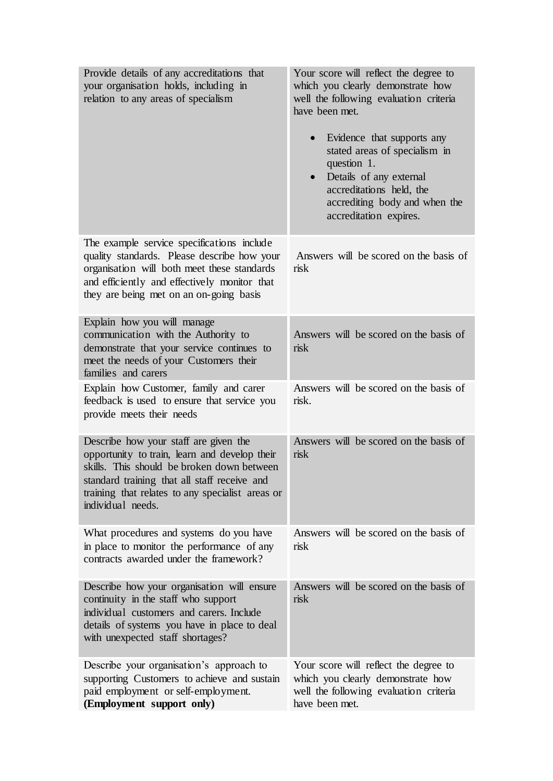| Provide details of any accreditations that<br>your organisation holds, including in<br>relation to any areas of specialism                                                                                                                                    | Your score will reflect the degree to<br>which you clearly demonstrate how<br>well the following evaluation criteria<br>have been met.<br>Evidence that supports any<br>$\bullet$<br>stated areas of specialism in<br>question 1.<br>Details of any external<br>$\bullet$<br>accreditations held, the<br>accrediting body and when the<br>accreditation expires. |
|---------------------------------------------------------------------------------------------------------------------------------------------------------------------------------------------------------------------------------------------------------------|------------------------------------------------------------------------------------------------------------------------------------------------------------------------------------------------------------------------------------------------------------------------------------------------------------------------------------------------------------------|
| The example service specifications include<br>quality standards. Please describe how your<br>organisation will both meet these standards<br>and efficiently and effectively monitor that<br>they are being met on an on-going basis                           | Answers will be scored on the basis of<br>risk                                                                                                                                                                                                                                                                                                                   |
| Explain how you will manage<br>communication with the Authority to<br>demonstrate that your service continues to<br>meet the needs of your Customers their<br>families and carers                                                                             | Answers will be scored on the basis of<br>risk                                                                                                                                                                                                                                                                                                                   |
| Explain how Customer, family and carer<br>feedback is used to ensure that service you<br>provide meets their needs                                                                                                                                            | Answers will be scored on the basis of<br>risk.                                                                                                                                                                                                                                                                                                                  |
| Describe how your staff are given the<br>opportunity to train, learn and develop their<br>skills. This should be broken down between<br>standard training that all staff receive and<br>training that relates to any specialist areas or<br>individual needs. | Answers will be scored on the basis of<br>risk                                                                                                                                                                                                                                                                                                                   |
| What procedures and systems do you have<br>in place to monitor the performance of any<br>contracts awarded under the framework?                                                                                                                               | Answers will be scored on the basis of<br>risk                                                                                                                                                                                                                                                                                                                   |
| Describe how your organisation will ensure<br>continuity in the staff who support<br>individual customers and carers. Include<br>details of systems you have in place to deal<br>with unexpected staff shortages?                                             | Answers will be scored on the basis of<br>risk                                                                                                                                                                                                                                                                                                                   |
| Describe your organisation's approach to<br>supporting Customers to achieve and sustain<br>paid employment or self-employment.<br>(Employment support only)                                                                                                   | Your score will reflect the degree to<br>which you clearly demonstrate how<br>well the following evaluation criteria<br>have been met.                                                                                                                                                                                                                           |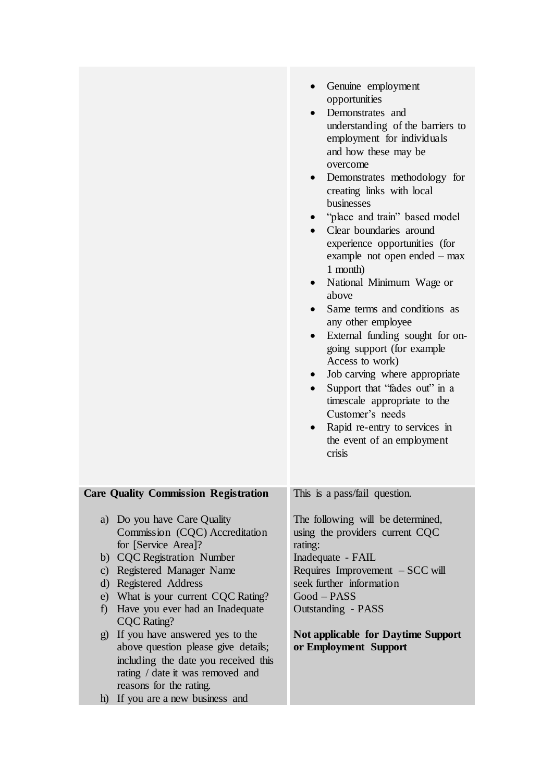|                                                                                                                                                                                                                                                                                                                                                                                                                                                                                                           | Genuine employment<br>opportunities<br>Demonstrates and<br>understanding of the barriers to<br>employment for individuals<br>and how these may be<br>overcome<br>Demonstrates methodology for<br>$\bullet$<br>creating links with local<br>businesses<br>"place and train" based model<br>Clear boundaries around<br>experience opportunities (for<br>example not open ended $-$ max<br>1 month)<br>National Minimum Wage or<br>above<br>Same terms and conditions as<br>any other employee<br>External funding sought for on-<br>going support (for example<br>Access to work)<br>Job carving where appropriate<br>Support that "fades out" in a<br>timescale appropriate to the<br>Customer's needs<br>Rapid re-entry to services in<br>the event of an employment<br>crisis |
|-----------------------------------------------------------------------------------------------------------------------------------------------------------------------------------------------------------------------------------------------------------------------------------------------------------------------------------------------------------------------------------------------------------------------------------------------------------------------------------------------------------|--------------------------------------------------------------------------------------------------------------------------------------------------------------------------------------------------------------------------------------------------------------------------------------------------------------------------------------------------------------------------------------------------------------------------------------------------------------------------------------------------------------------------------------------------------------------------------------------------------------------------------------------------------------------------------------------------------------------------------------------------------------------------------|
| Care Quality Commission Registration                                                                                                                                                                                                                                                                                                                                                                                                                                                                      | This is a pass/fail question.                                                                                                                                                                                                                                                                                                                                                                                                                                                                                                                                                                                                                                                                                                                                                  |
| a) Do you have Care Quality<br>Commission (CQC) Accreditation<br>for [Service Area]?<br>b) CQC Registration Number<br>c) Registered Manager Name<br>d) Registered Address<br>e) What is your current CQC Rating?<br>Have you ever had an Inadequate<br>f<br><b>CQC</b> Rating?<br>g) If you have answered yes to the<br>above question please give details;<br>including the date you received this<br>rating / date it was removed and<br>reasons for the rating.<br>If you are a new business and<br>h) | The following will be determined,<br>using the providers current CQC<br>rating:<br>Inadequate - FAIL<br>Requires Improvement - SCC will<br>seek further information<br>Good-PASS<br>Outstanding - PASS<br><b>Not applicable for Daytime Support</b><br>or Employment Support                                                                                                                                                                                                                                                                                                                                                                                                                                                                                                   |